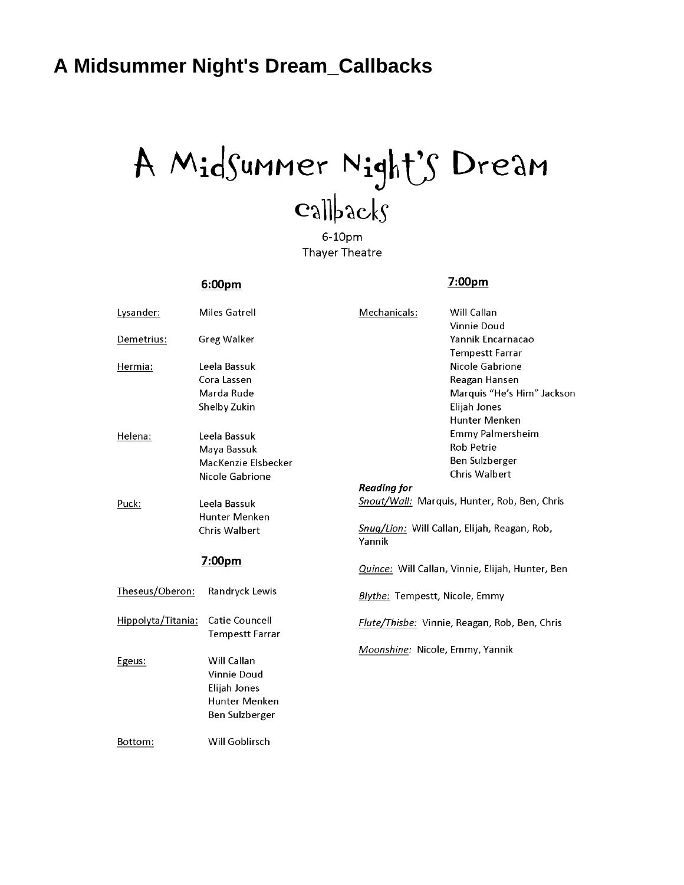## <span id="page-0-0"></span>A Midsummer Night's Dream\_Callbacks

# A Midsummer Night's Dream  $\mathbf{c}_3$ llbacks

6-10pm Thayer Theatre

### 6:00pm

#### 7:00pm

| Lysander:          | Miles Gatrell                              | Mechanicals:                                     | Will Callan<br>Vinnie Doud                   |
|--------------------|--------------------------------------------|--------------------------------------------------|----------------------------------------------|
| Demetrius:         | <b>Greg Walker</b>                         |                                                  | Yannik Encarnacao<br><b>Tempestt Farrar</b>  |
| Hermia:            | Leela Bassuk                               |                                                  | Nicole Gabrione                              |
|                    | Cora Lassen                                |                                                  | Reagan Hansen                                |
|                    | Marda Rude                                 |                                                  | Marquis "He's Him" Jackson                   |
|                    | Shelby Zukin                               |                                                  | Elijah Jones                                 |
|                    |                                            |                                                  | Hunter Menken                                |
| Helena:            | Leela Bassuk                               |                                                  | <b>Emmy Palmersheim</b>                      |
|                    | Maya Bassuk                                |                                                  | <b>Rob Petrie</b>                            |
|                    | MacKenzie Elsbecker                        |                                                  | Ben Sulzberger                               |
|                    | Nicole Gabrione                            |                                                  | Chris Walbert                                |
|                    |                                            | <b>Reading for</b>                               |                                              |
| Puck:              | Leela Bassuk                               | Snout/Wall: Marquis, Hunter, Rob, Ben, Chris     |                                              |
|                    | Hunter Menken                              |                                                  |                                              |
|                    | <b>Chris Walbert</b>                       | Yannik                                           | Snug/Lion: Will Callan, Elijah, Reagan, Rob, |
| 7:00pm             |                                            | Quince: Will Callan, Vinnie, Elijah, Hunter, Ben |                                              |
| Theseus/Oberon:    | Randryck Lewis                             | Blythe: Tempestt, Nicole, Emmy                   |                                              |
| Hippolyta/Titania: | Catie Councell<br><b>Tempestt Farrar</b>   | Flute/Thisbe: Vinnie, Reagan, Rob, Ben, Chris    |                                              |
| Egeus:             | Will Callan<br>Vinnie Doud<br>Elijah Jones | Moonshine: Nicole, Emmy, Yannik                  |                                              |
|                    | Hunter Menken                              |                                                  |                                              |
|                    | Ben Sulzberger                             |                                                  |                                              |
| Bottom:            | Will Goblirsch                             |                                                  |                                              |